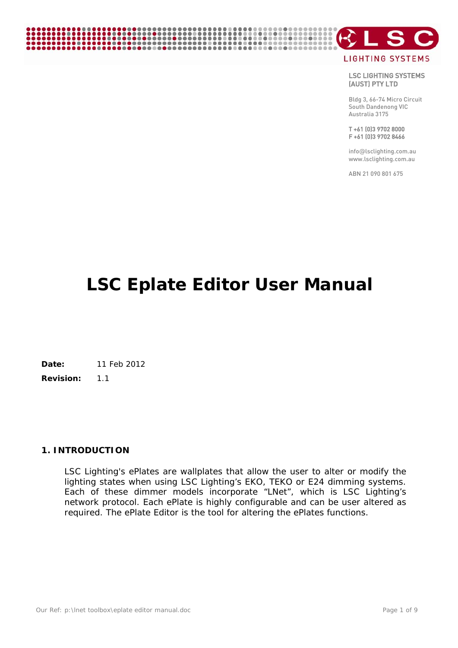# **LIGHTING SYSTEMS**

- S

LSC LIGHTING SYSTEMS (AUST) PTY LTD

Bldg 3, 66-74 Micro Circuit South Dandenong VIC Australia 3175

T +61 (0)3 9702 8000 F +61 (0)3 9702 8466

info@lsclighting.com.au www.lsclighting.com.au

ABN 21 090 801 675

# **LSC Eplate Editor User Manual**

**Date:** 11 Feb 2012

**Revision:** 1.1

# **1. INTRODUCTION**

LSC Lighting's ePlates are wallplates that allow the user to alter or modify the lighting states when using LSC Lighting's EKO, TEKO or E24 dimming systems. Each of these dimmer models incorporate "LNet", which is LSC Lighting's network protocol. Each ePlate is highly configurable and can be user altered as required. The ePlate Editor is the tool for altering the ePlates functions.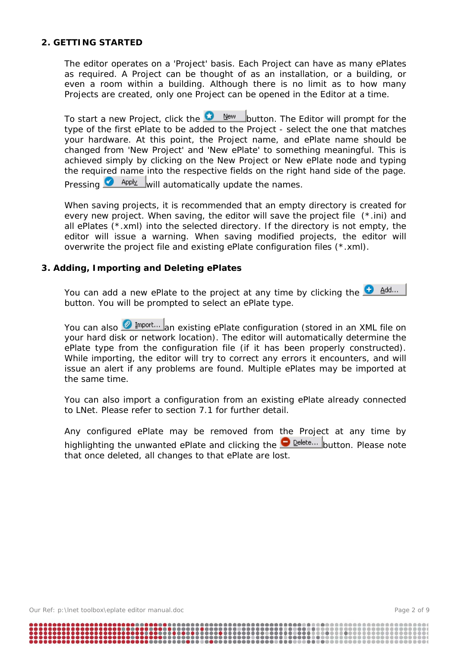#### **2. GETTING STARTED**

The editor operates on a 'Project' basis. Each Project can have as many ePlates as required. A Project can be thought of as an installation, or a building, or even a room within a building. Although there is no limit as to how many Projects are created, only one Project can be opened in the Editor at a time.

To start a new Project, click the  $\bigcirc$  New button. The Editor will prompt for the type of the first ePlate to be added to the Project - select the one that matches your hardware. At this point, the Project name, and ePlate name should be changed from 'New Project' and 'New ePlate' to something meaningful. This is achieved simply by clicking on the New Project or New ePlate node and typing the required name into the respective fields on the right hand side of the page.

Pressing  $\bullet$  Apply will automatically update the names.

When saving projects, it is recommended that an empty directory is created for every new project. When saving, the editor will save the project file (\*.ini) and all ePlates (\*.xml) into the selected directory. If the directory is not empty, the editor will issue a warning. When saving modified projects, the editor will overwrite the project file and existing ePlate configuration files (\*.xml).

# **3. Adding, Importing and Deleting ePlates**

You can add a new ePlate to the project at any time by clicking the  $\bigoplus_{n=1}^{\infty}$  Add... button. You will be prompted to select an ePlate type.

You can also **2** Import... an existing ePlate configuration (stored in an XML file on your hard disk or network location). The editor will automatically determine the ePlate type from the configuration file (if it has been properly constructed). While importing, the editor will try to correct any errors it encounters, and will issue an alert if any problems are found. Multiple ePlates may be imported at the same time.

You can also import a configuration from an existing ePlate already connected to LNet. Please refer to section 7.1 for further detail.

Any configured ePlate may be removed from the Project at any time by highlighting the unwanted ePlate and clicking the **D**elete... button. Please note that once deleted, all changes to that ePlate are lost.

Our Ref: p:\lnet toolbox\eplate editor manual.doc Page 2 of 9

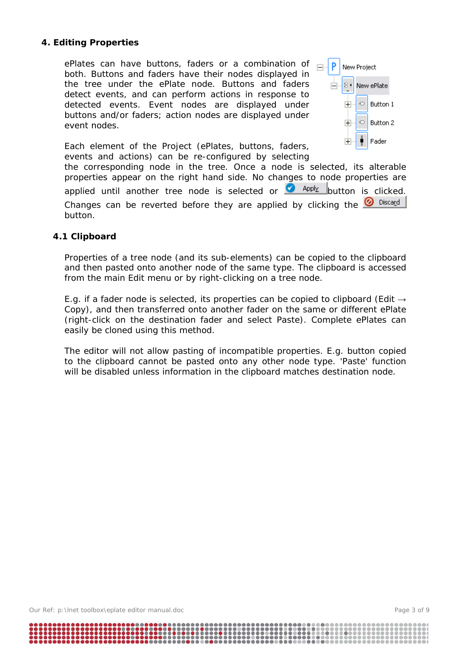# **4. Editing Properties**

ePlates can have buttons, faders or a combination of both. Buttons and faders have their nodes displayed in the tree under the ePlate node. Buttons and faders detect events, and can perform actions in response to detected events. Event nodes are displayed under buttons and/or faders; action nodes are displayed under event nodes.



Each element of the Project (ePlates, buttons, faders, events and actions) can be re-configured by selecting

the corresponding node in the tree. Once a node is selected, its alterable properties appear on the right hand side. No changes to node properties are applied until another tree node is selected or  $\bullet$  Apply button is clicked. Changes can be reverted before they are applied by clicking the  $\bigcirc$  Discard button.

#### **4.1 Clipboard**

Properties of a tree node (and its sub-elements) can be copied to the clipboard and then pasted onto another node of the same type. The clipboard is accessed from the main Edit menu or by right-clicking on a tree node.

E.g. if a fader node is selected, its properties can be copied to clipboard (Edit  $\rightarrow$ Copy), and then transferred onto another fader on the same or different ePlate (right-click on the destination fader and select Paste). Complete ePlates can easily be cloned using this method.

The editor will not allow pasting of incompatible properties. E.g. button copied to the clipboard cannot be pasted onto any other node type. 'Paste' function will be disabled unless information in the clipboard matches destination node.

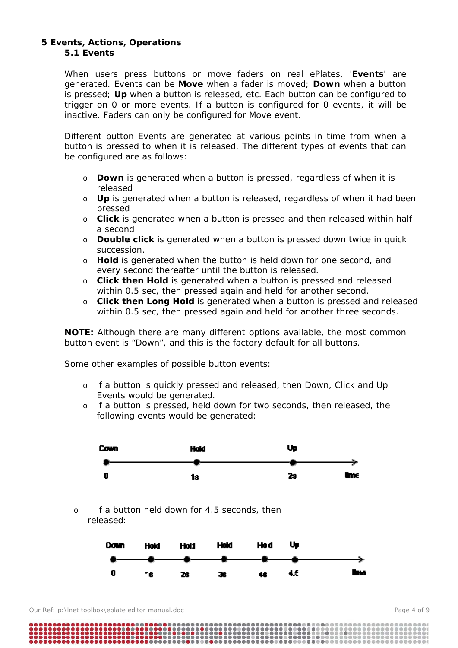#### **5 Events, Actions, Operations 5.1 Events**

When users press buttons or move faders on real ePlates, '**Events**' are generated. Events can be **Move** when a fader is moved; **Down** when a button is pressed; **Up** when a button is released, etc. Each button can be configured to trigger on 0 or more events. If a button is configured for 0 events, it will be inactive. Faders can only be configured for Move event.

Different button Events are generated at various points in time from when a button is pressed to when it is released. The different types of events that can be configured are as follows:

- o **Down** is generated when a button is pressed, regardless of when it is released
- o **Up** is generated when a button is released, regardless of when it had been pressed
- o **Click** is generated when a button is pressed and then released within half a second
- o **Double click** is generated when a button is pressed down twice in quick succession.
- o **Hold** is generated when the button is held down for one second, and every second thereafter until the button is released.
- o **Click then Hold** is generated when a button is pressed and released within 0.5 sec, then pressed again and held for another second.
- o **Click then Long Hold** is generated when a button is pressed and released within 0.5 sec, then pressed again and held for another three seconds.

**NOTE:** Although there are many different options available, the most common button event is "Down", and this is the factory default for all buttons.

Some other examples of possible button events:

- o if a button is quickly pressed and released, then Down, Click and Up Events would be generated.
- o if a button is pressed, held down for two seconds, then released, the following events would be generated:



o if a button held down for 4.5 seconds, then released:

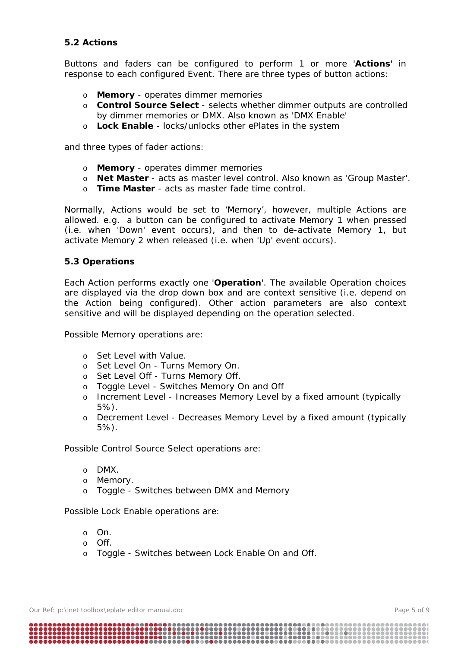# **5.2 Actions**

Buttons and faders can be configured to perform 1 or more '**Actions**' in response to each configured Event. There are three types of button actions:

- o **Memory** operates dimmer memories
- o **Control Source Select**  selects whether dimmer outputs are controlled by dimmer memories or DMX. Also known as 'DMX Enable'
- o **Lock Enable**  locks/unlocks other ePlates in the system

and three types of fader actions:

- o **Memory** operates dimmer memories
- o **Net Master**  acts as master level control. Also known as 'Group Master'.
- o **Time Master**  acts as master fade time control.

Normally, Actions would be set to 'Memory', however, multiple Actions are allowed. e.g. a button can be configured to activate Memory 1 when pressed (i.e. when 'Down' event occurs), and then to de-activate Memory 1, but activate Memory 2 when released (i.e. when 'Up' event occurs).

#### **5.3 Operations**

Each Action performs exactly one '**Operation**'. The available Operation choices are displayed via the drop down box and are context sensitive (i.e. depend on the Action being configured). Other action parameters are also context sensitive and will be displayed depending on the operation selected.

Possible Memory operations are:

- o Set Level with Value.
- o Set Level On Turns Memory On.
- o Set Level Off Turns Memory Off.
- o Toggle Level Switches Memory On and Off
- o Increment Level Increases Memory Level by a fixed amount (typically 5%).
- o Decrement Level Decreases Memory Level by a fixed amount (typically 5%).

Possible Control Source Select operations are:

- o DMX.
- o Memory.
- o Toggle Switches between DMX and Memory

Possible Lock Enable operations are:

- o On.
- o Off.
- o Toggle Switches between Lock Enable On and Off.

Our Ref: p:\lnet toolbox\eplate editor manual.doc **Page 5 of 9** Page 5 of 9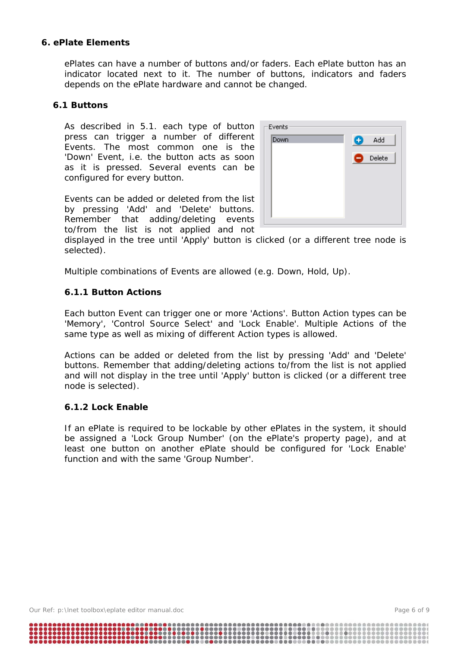#### **6. ePlate Elements**

ePlates can have a number of buttons and/or faders. Each ePlate button has an indicator located next to it. The number of buttons, indicators and faders depends on the ePlate hardware and cannot be changed.

#### **6.1 Buttons**

As described in 5.1. each type of button press can trigger a number of different Events. The most common one is the 'Down' Event, i.e. the button acts as soon as it is pressed. Several events can be configured for every button.

Events can be added or deleted from the list by pressing 'Add' and 'Delete' buttons. Remember that adding/deleting events to/from the list is not applied and not



displayed in the tree until 'Apply' button is clicked (or a different tree node is selected).

Multiple combinations of Events are allowed (e.g. Down, Hold, Up).

# **6.1.1 Button Actions**

Each button Event can trigger one or more 'Actions'. Button Action types can be 'Memory', 'Control Source Select' and 'Lock Enable'. Multiple Actions of the same type as well as mixing of different Action types is allowed.

Actions can be added or deleted from the list by pressing 'Add' and 'Delete' buttons. Remember that adding/deleting actions to/from the list is not applied and will not display in the tree until 'Apply' button is clicked (or a different tree node is selected).

#### **6.1.2 Lock Enable**

If an ePlate is required to be lockable by other ePlates in the system, it should be assigned a 'Lock Group Number' (on the ePlate's property page), and at least one button on another ePlate should be configured for 'Lock Enable' function and with the same 'Group Number'.

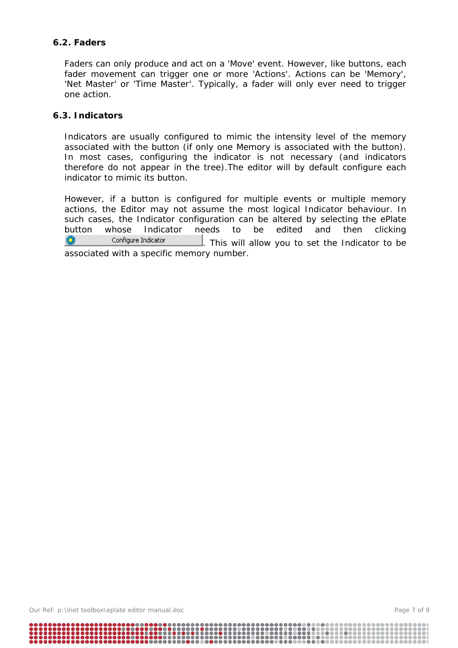# **6.2. Faders**

Faders can only produce and act on a 'Move' event. However, like buttons, each fader movement can trigger one or more 'Actions'. Actions can be 'Memory', 'Net Master' or 'Time Master'. Typically, a fader will only ever need to trigger one action.

# **6.3. Indicators**

Indicators are usually configured to mimic the intensity level of the memory associated with the button (if only one Memory is associated with the button). In most cases, configuring the indicator is not necessary (and indicators therefore do not appear in the tree).The editor will by default configure each indicator to mimic its button.

However, if a button is configured for multiple events or multiple memory actions, the Editor may not assume the most logical Indicator behaviour. In such cases, the Indicator configuration can be altered by selecting the ePlate button whose Indicator needs to be edited and then clicking Ø. Configure Indicator . This will allow you to set the Indicator to be associated with a specific memory number.

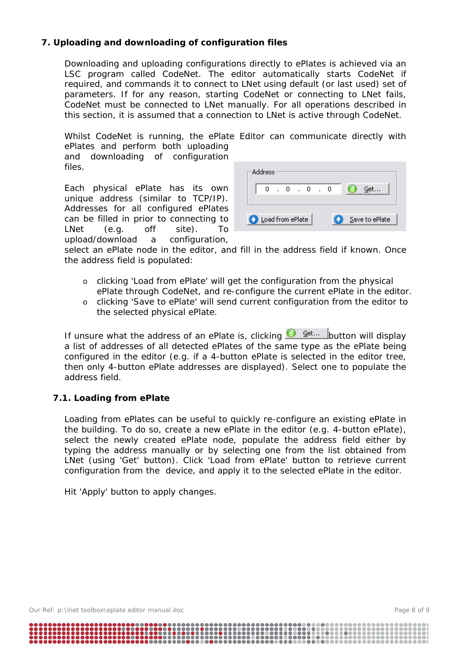# **7. Uploading and downloading of configuration files**

Downloading and uploading configurations directly to ePlates is achieved via an LSC program called CodeNet. The editor automatically starts CodeNet if required, and commands it to connect to LNet using default (or last used) set of parameters. If for any reason, starting CodeNet or connecting to LNet fails, CodeNet must be connected to LNet manually. For all operations described in this section, it is assumed that a connection to LNet is active through CodeNet.

Whilst CodeNet is running, the ePlate Editor can communicate directly with ePlates and perform both uploading

and downloading of configuration files.

Each physical ePlate has its own unique address (similar to TCP/IP). Addresses for all configured ePlates can be filled in prior to connecting to LNet (e.g. off site). To upload/download a configuration,

| Address                                 |    |  |     |  |     |  |   |     |
|-----------------------------------------|----|--|-----|--|-----|--|---|-----|
|                                         | n. |  | - 0 |  | - 0 |  | n | Get |
| Load from ePlate<br>Save to ePlate<br>٠ |    |  |     |  |     |  |   |     |

select an ePlate node in the editor, and fill in the address field if known. Once the address field is populated:

- o clicking 'Load from ePlate' will get the configuration from the physical ePlate through CodeNet, and re-configure the current ePlate in the editor.
- o clicking 'Save to ePlate' will send current configuration from the editor to the selected physical ePlate.

If unsure what the address of an ePlate is, clicking  $\bigotimes^{\mathcal{G}^{\text{et...}}}$  button will display a list of addresses of all detected ePlates of the same type as the ePlate being configured in the editor (e.g. if a 4-button ePlate is selected in the editor tree, then only 4-button ePlate addresses are displayed). Select one to populate the address field.

#### **7.1. Loading from ePlate**

Loading from ePlates can be useful to quickly re-configure an existing ePlate in the building. To do so, create a new ePlate in the editor (e.g. 4-button ePlate), select the newly created ePlate node, populate the address field either by typing the address manually or by selecting one from the list obtained from LNet (using 'Get' button). Click 'Load from ePlate' button to retrieve current configuration from the device, and apply it to the selected ePlate in the editor.

Hit 'Apply' button to apply changes.

Our Ref: p:\lnet toolbox\eplate editor manual.doc Page 8 of 9